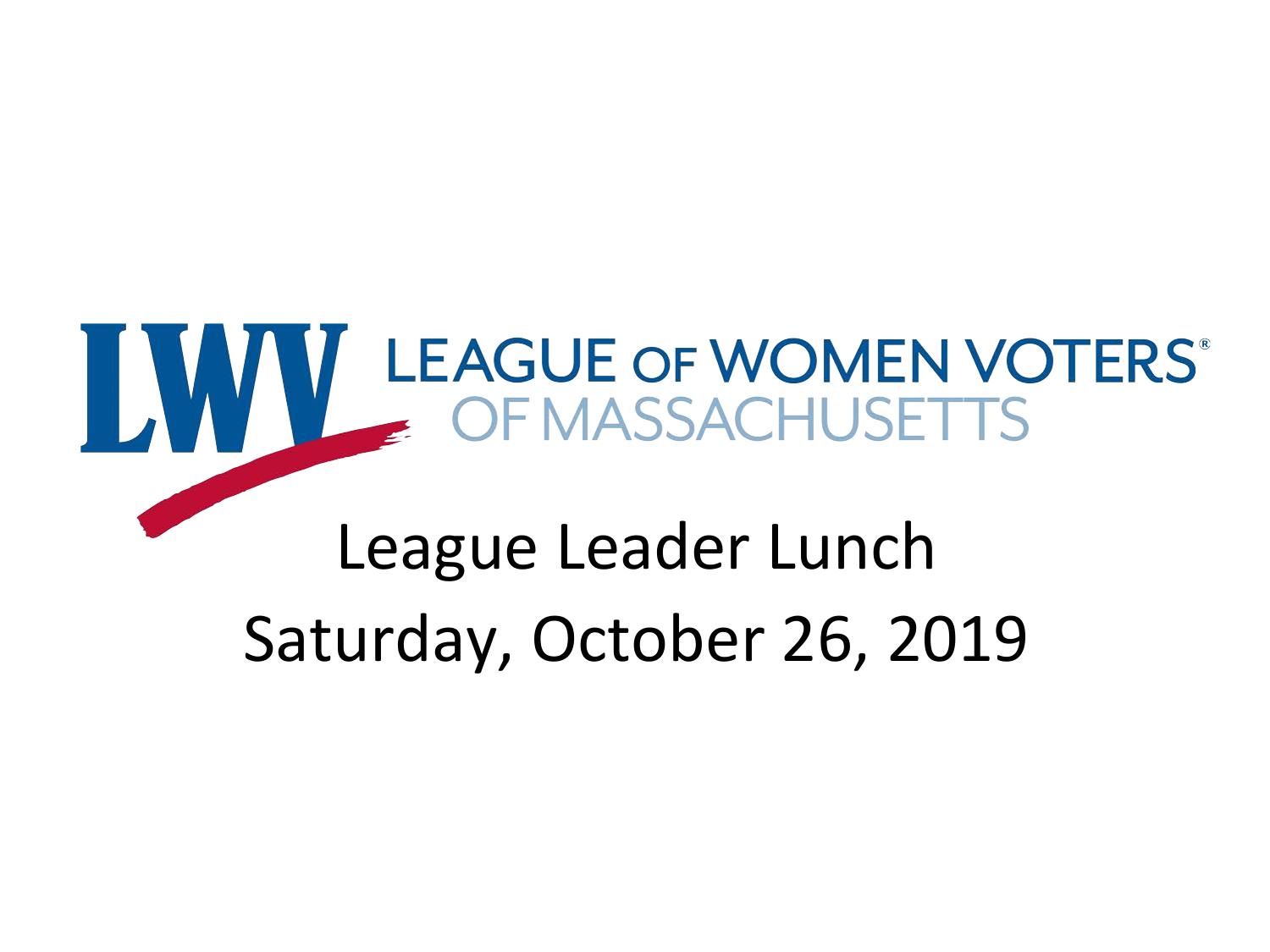# WWW LEAGUE OF WOMEN VOTERS

#### League Leader Lunch Saturday, October 26, 2019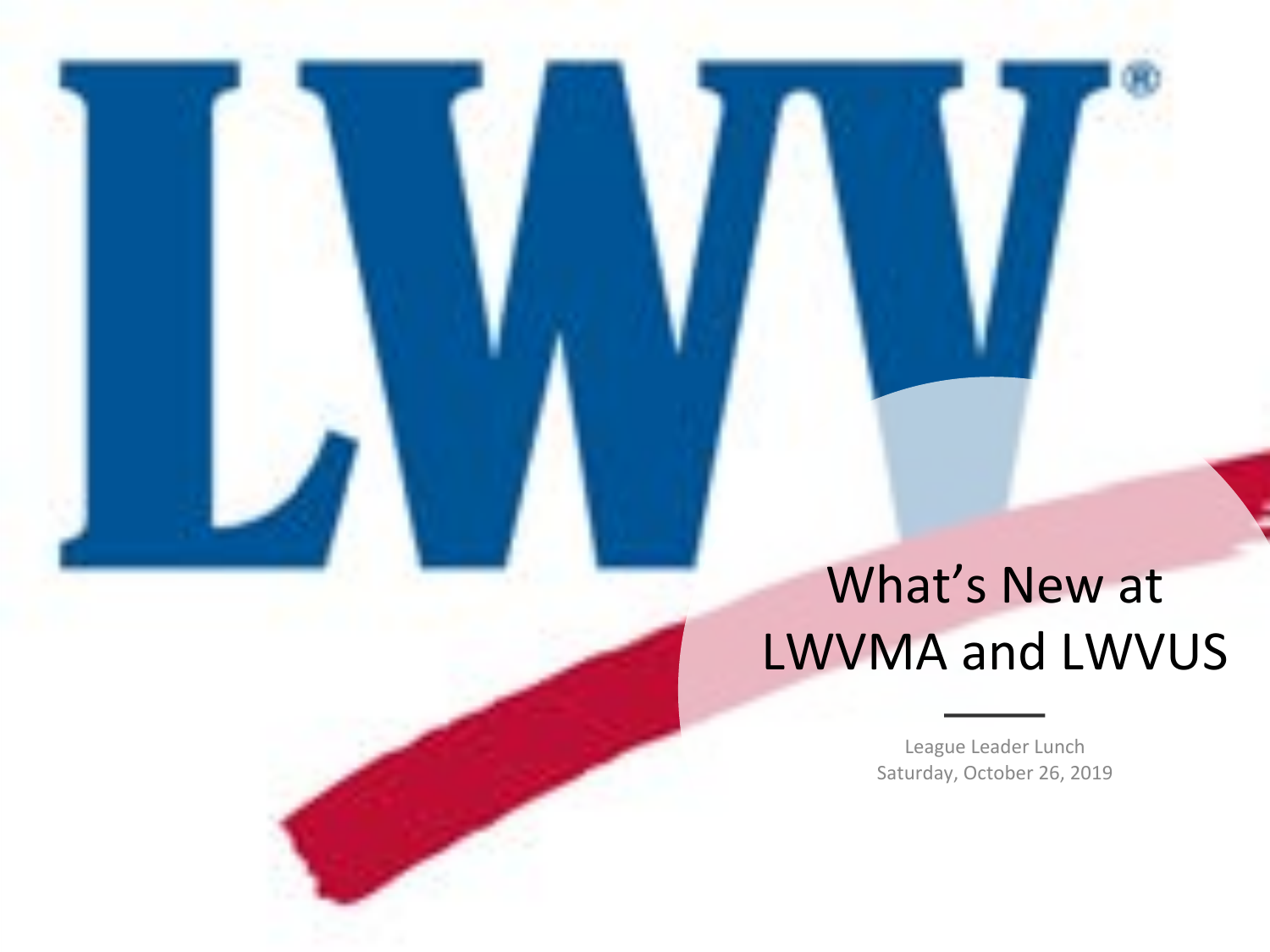#### What's New at LWVMA and LWVUS

League Leader Lunch Saturday, October 26, 2019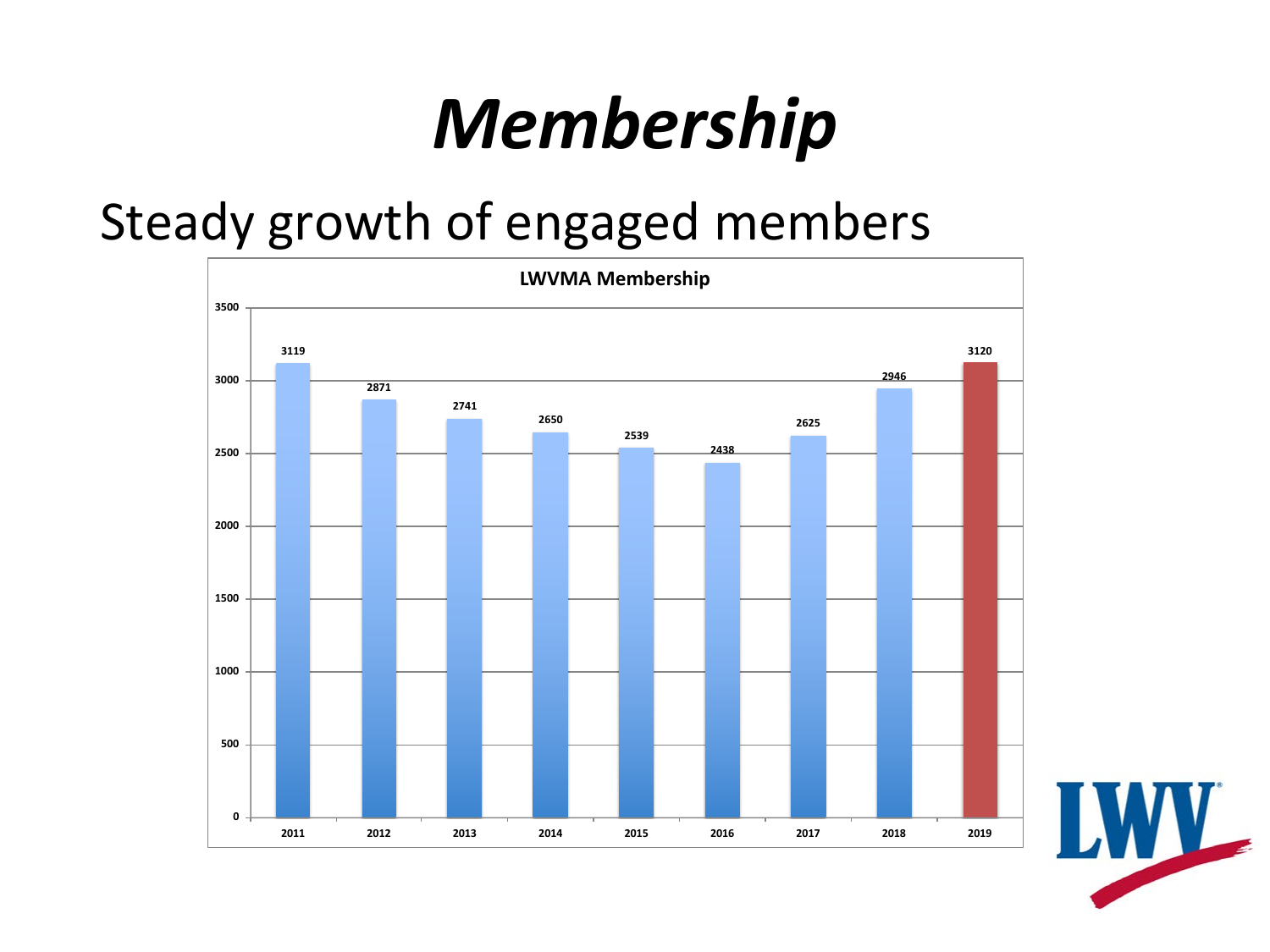#### *Membership*

#### Steady growth of engaged members



**AV**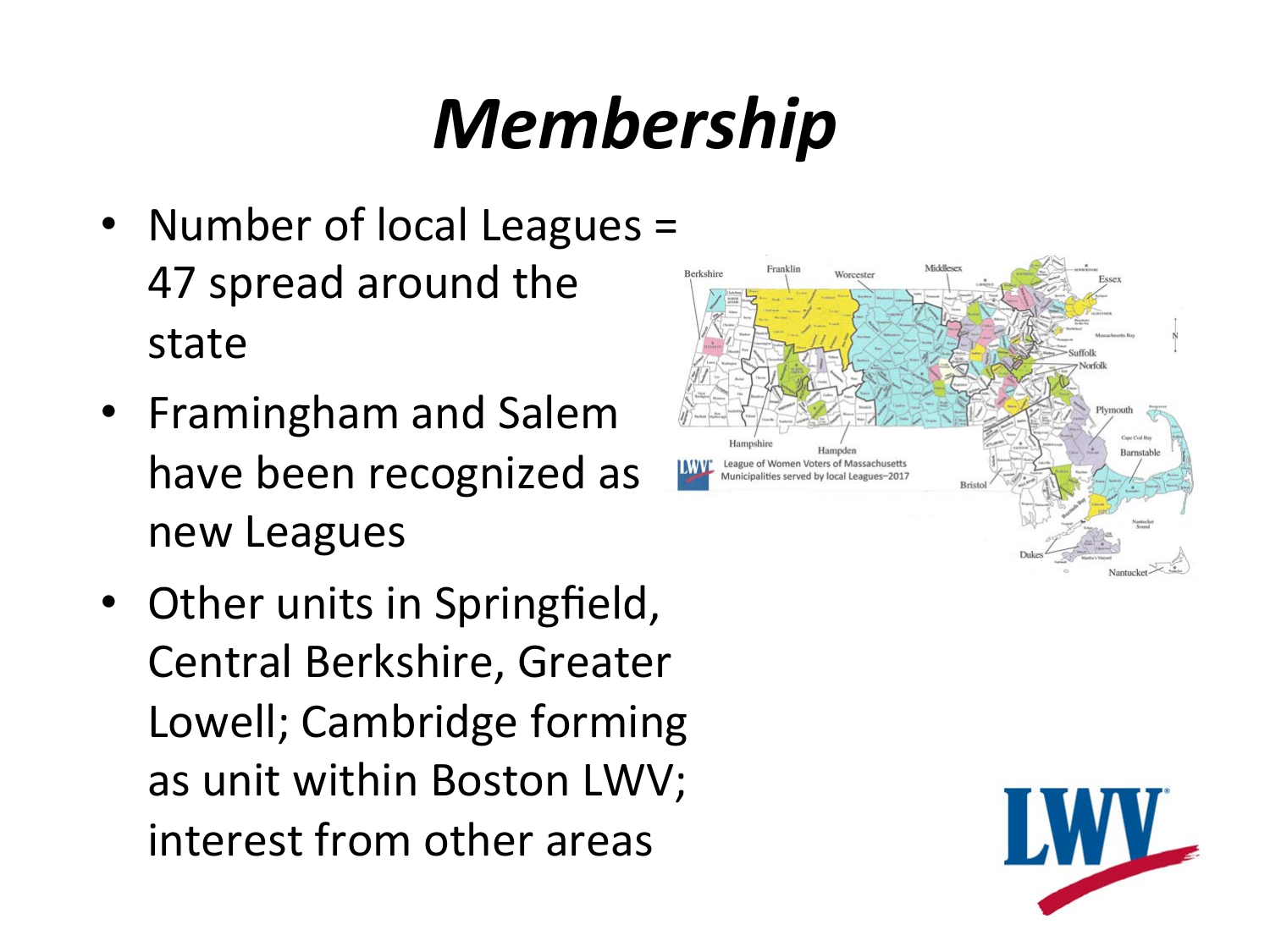#### *Membership*

- Number of local Leagues = 47 spread around the state
- Framingham and Salem have been recognized as new Leagues
- Other units in Springfield, Central Berkshire, Greater Lowell; Cambridge forming as unit within Boston LWV; interest from other areas



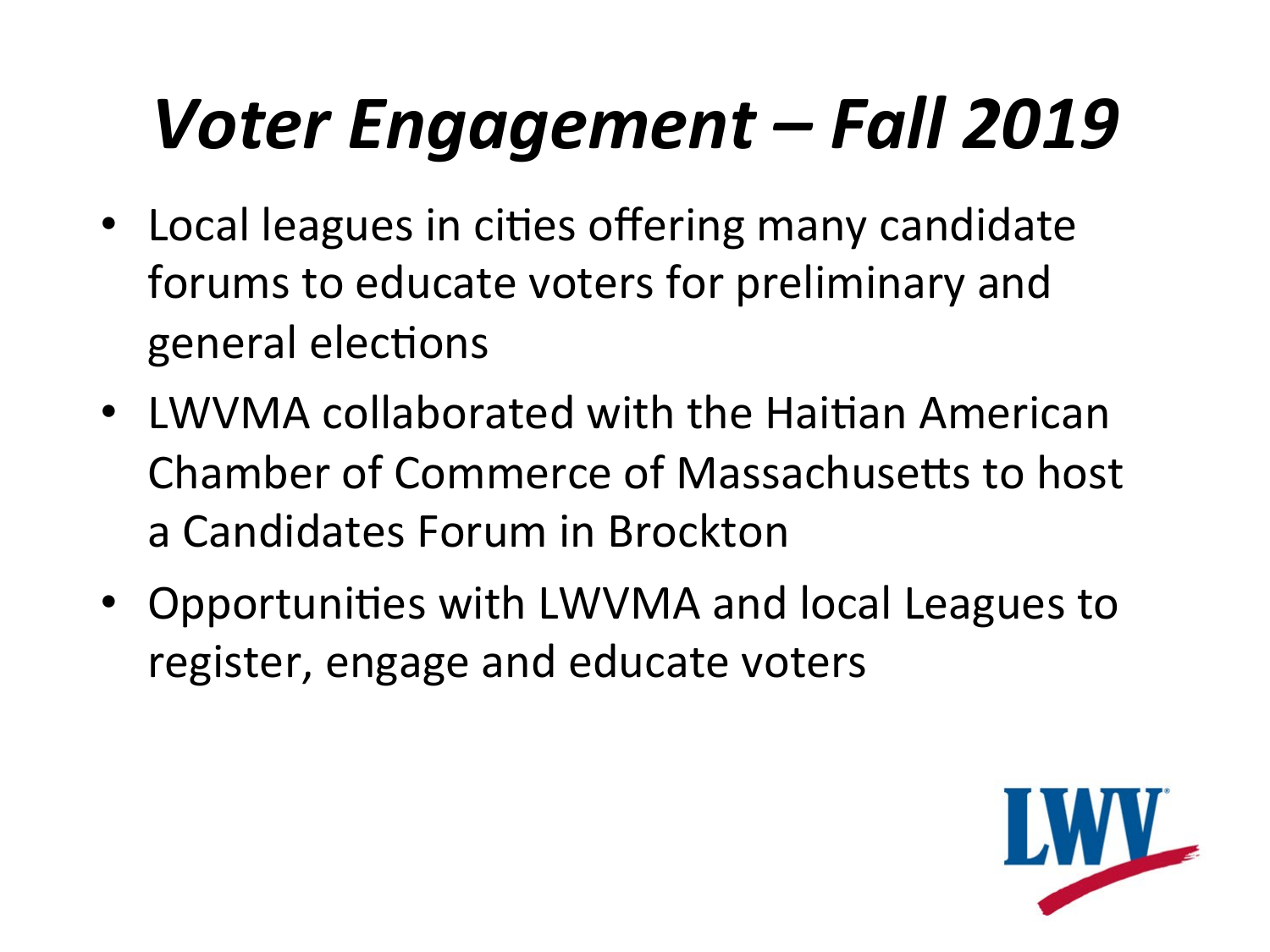#### *Voter Engagement – Fall 2019*

- Local leagues in cities offering many candidate forums to educate voters for preliminary and general elections
- **LWVMA collaborated with the Haitian American** Chamber of Commerce of Massachusetts to host a Candidates Forum in Brockton
- Opportunities with LWVMA and local Leagues to register, engage and educate voters

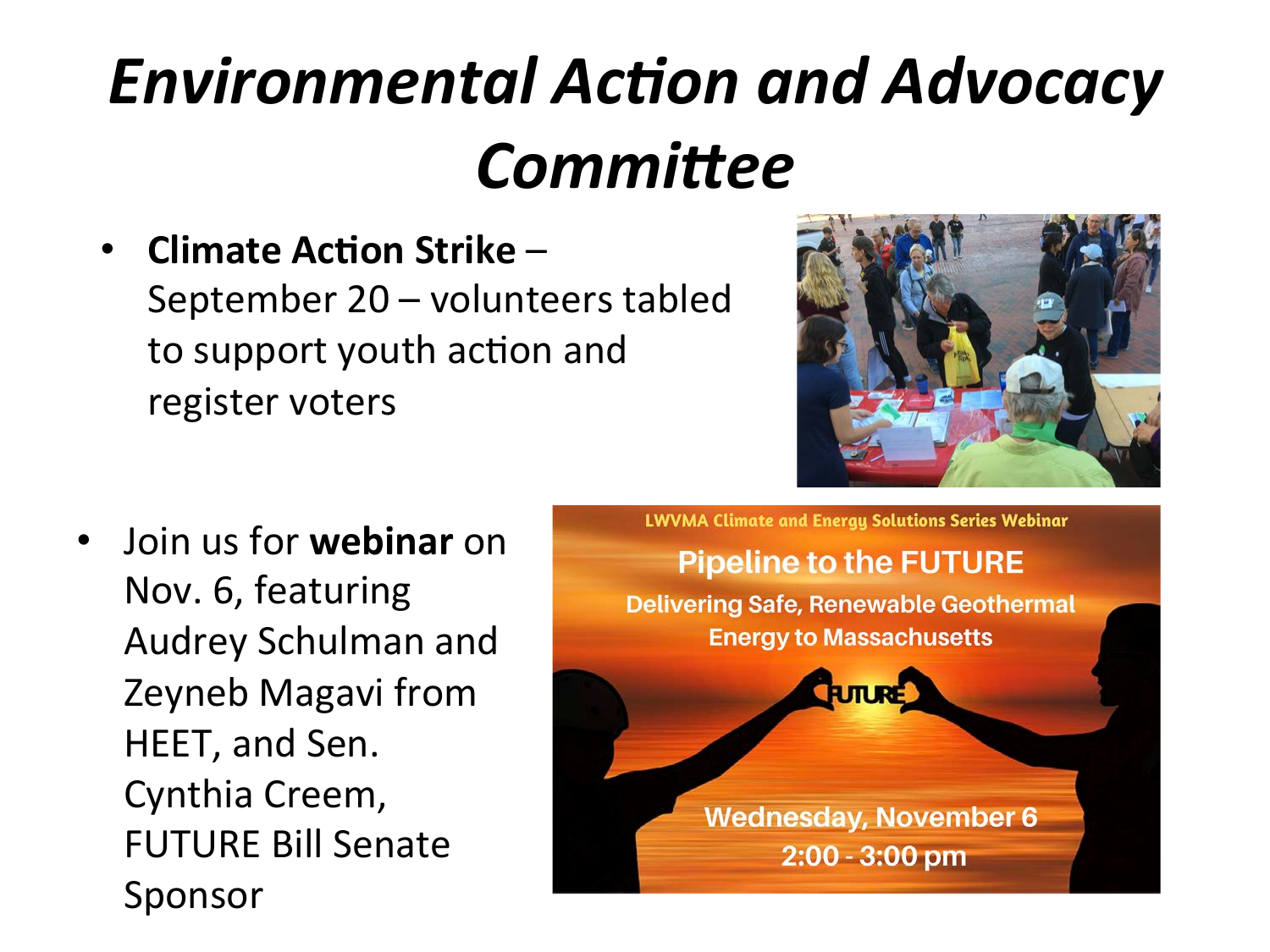#### *Environmental Action and Advocacy Committee*

**Climate Action Strike –** 

September 20 - volunteers tabled to support youth action and register voters



**Join us for webinar** on Nov. 6, featuring Audrey Schulman and Zeyneb Magavi from HEET, and Sen. Cynthia Creem, **FUTURE Bill Senate** Sponsor 

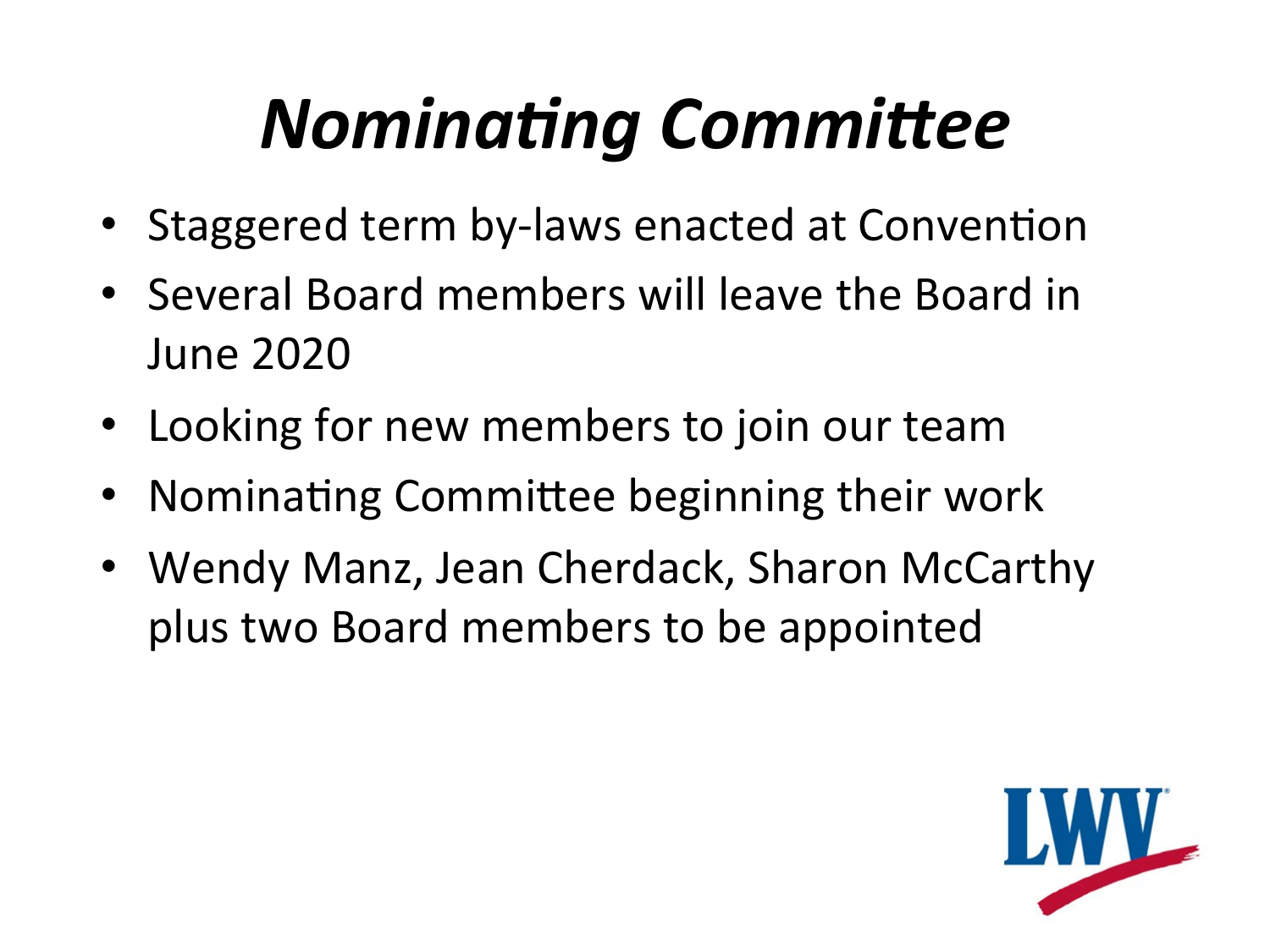#### **Nominating Committee**

- Staggered term by-laws enacted at Convention
- Several Board members will leave the Board in June 2020
- Looking for new members to join our team
- Nominating Committee beginning their work
- Wendy Manz, Jean Cherdack, Sharon McCarthy plus two Board members to be appointed

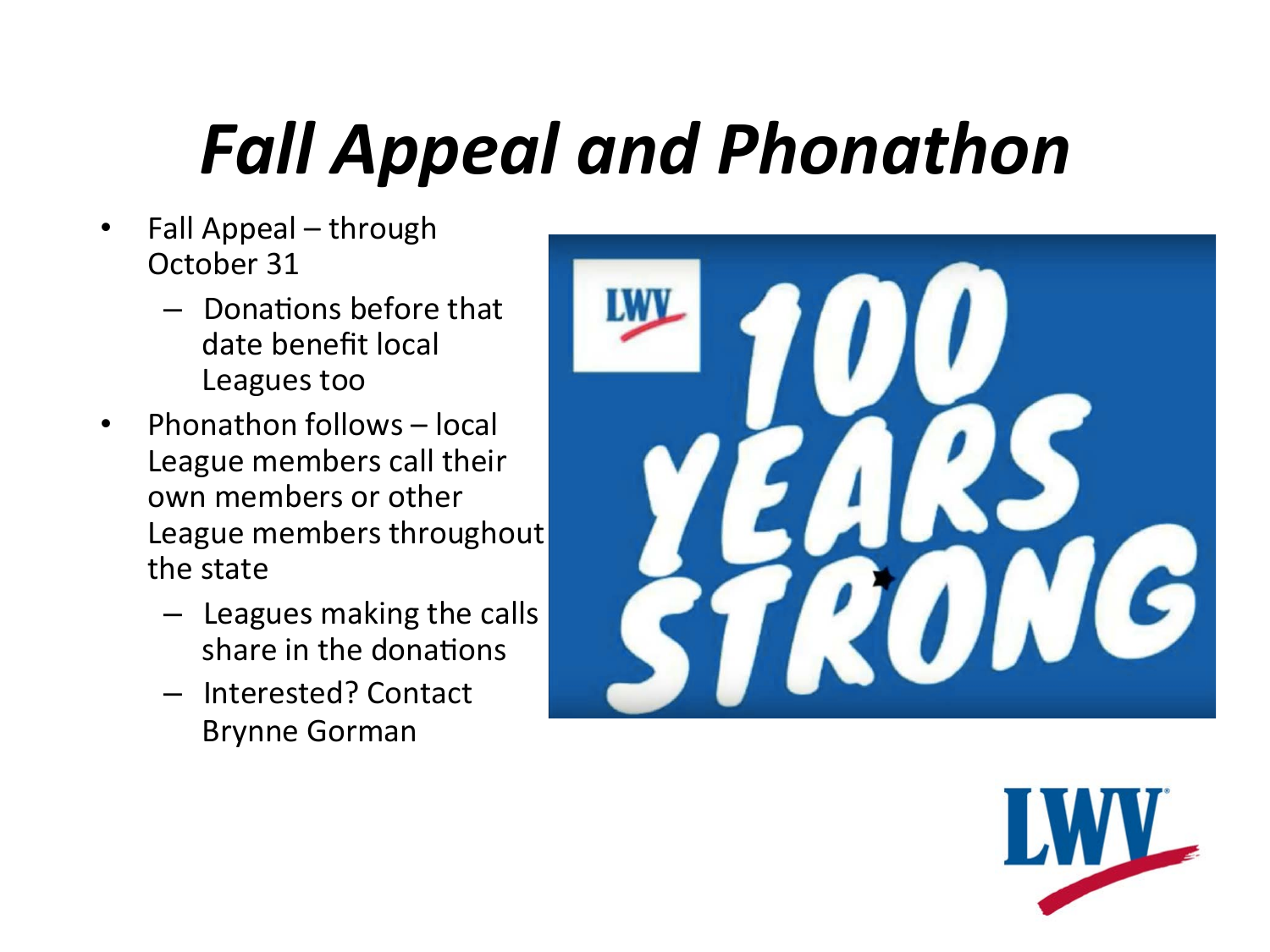#### *Fall Appeal and Phonathon*

- Fall Appeal through October 31
	- $-$  Donations before that date benefit local Leagues too
- Phonathon follows local League members call their own members or other League members throughout the state
	- $-$  Leagues making the calls share in the donations
	- Interested? Contact Brynne Gorman



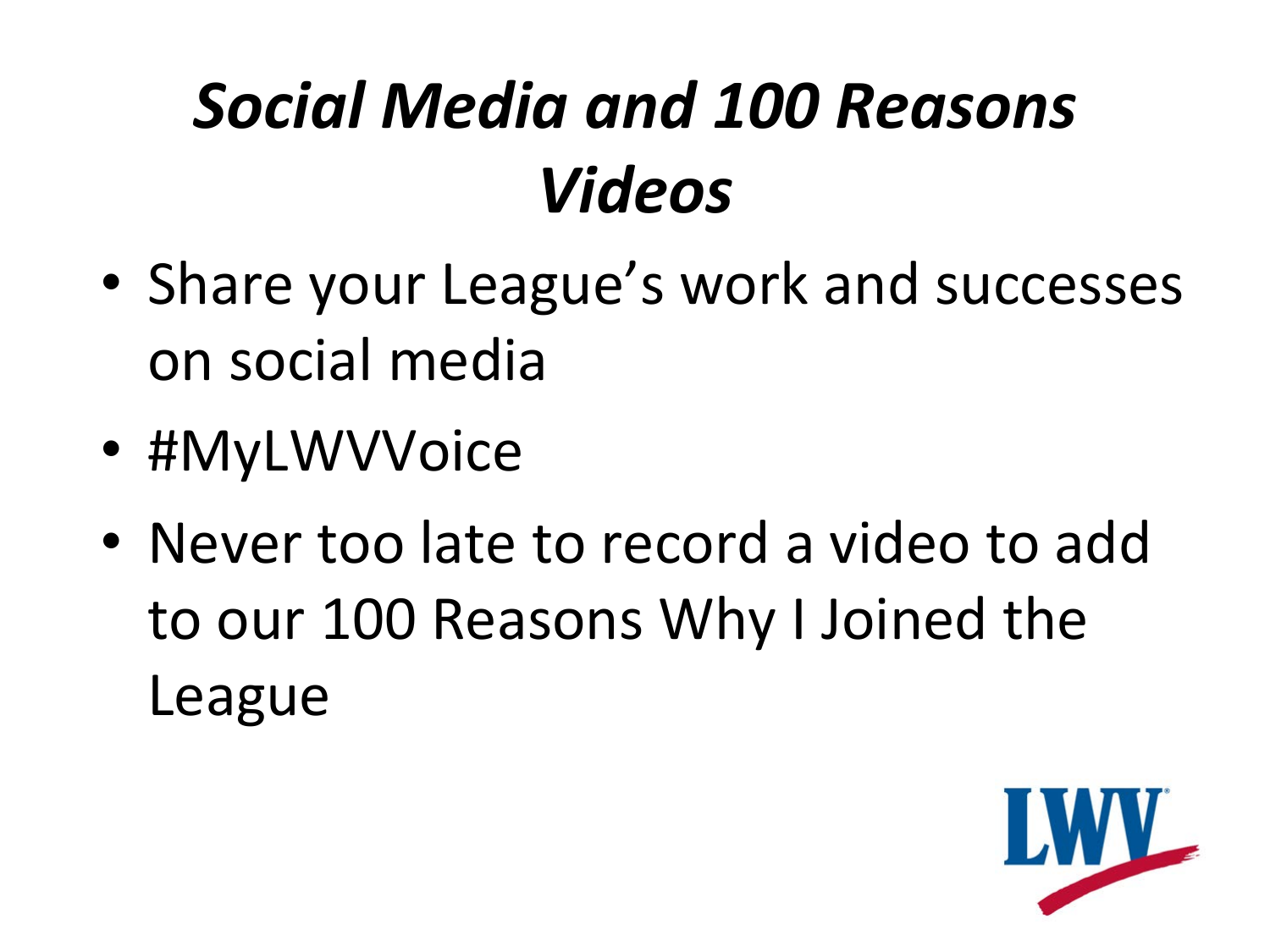#### *Social Media and 100 Reasons Videos*

- Share your League's work and successes on social media
- #MyLWVVoice
- Never too late to record a video to add to our 100 Reasons Why I Joined the League

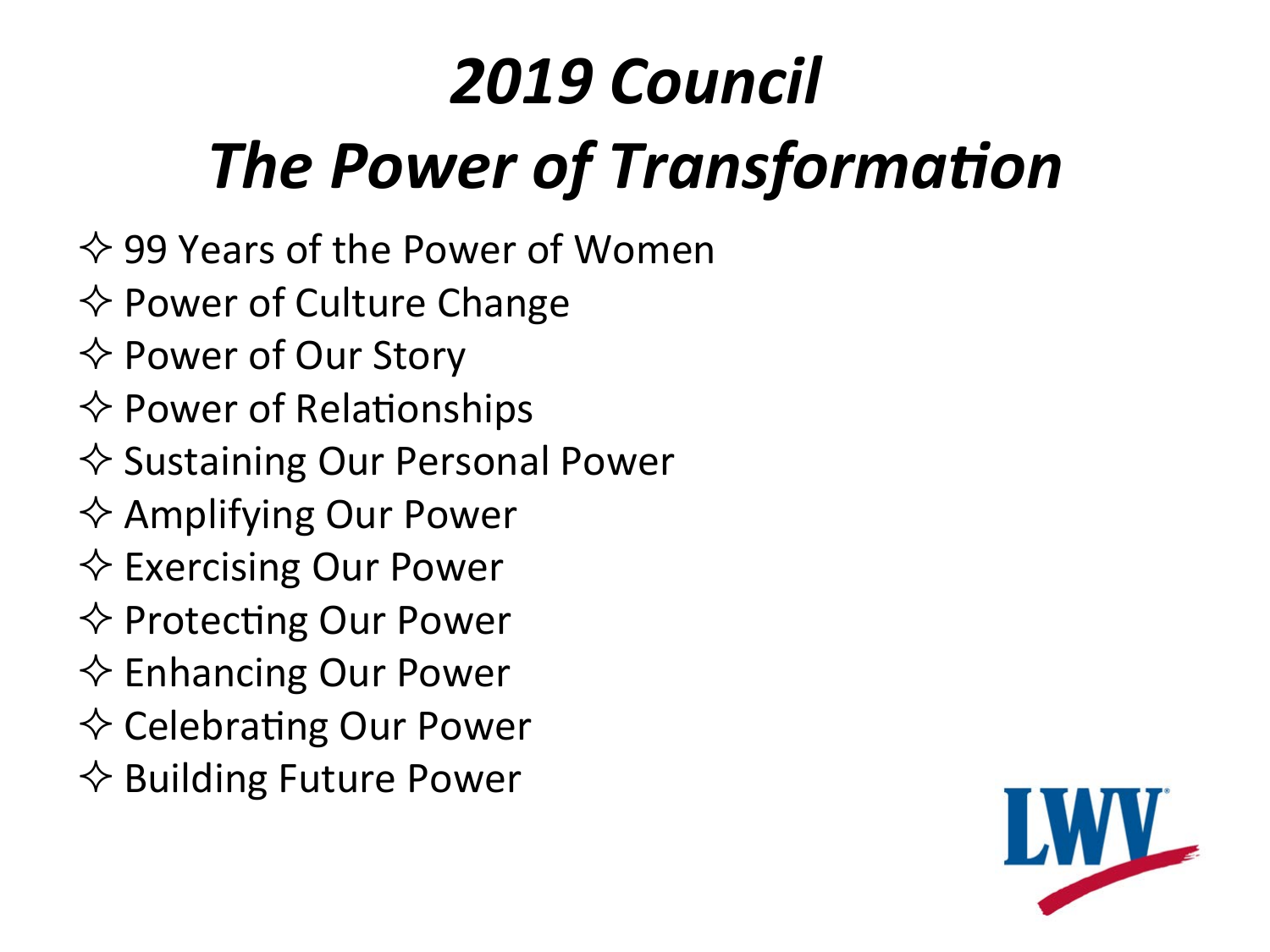#### *2019 Council* **The Power of Transformation**

- $\Leftrightarrow$  99 Years of the Power of Women
- $\Leftrightarrow$  Power of Culture Change
- $\Leftrightarrow$  Power of Our Story
- $\Leftrightarrow$  Power of Relationships
- $\diamondsuit$  Sustaining Our Personal Power
- $\Leftrightarrow$  Amplifying Our Power
- $\Leftrightarrow$  Exercising Our Power
- $\Leftrightarrow$  Protecting Our Power
- $\Leftrightarrow$  Enhancing Our Power
- $\diamondsuit$  Celebrating Our Power
- $\Leftrightarrow$  Building Future Power

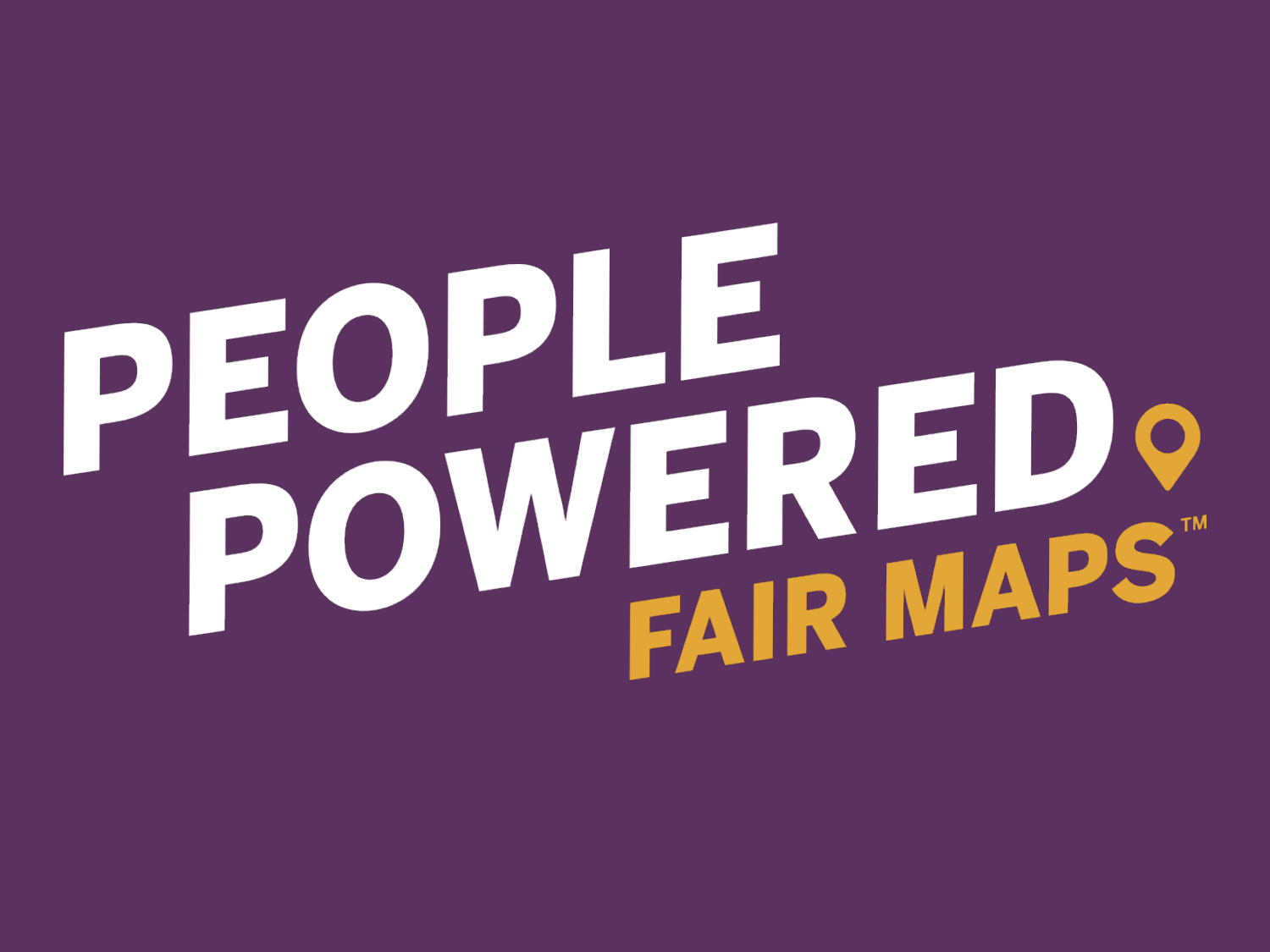# PEOPLE<br>POWEREDO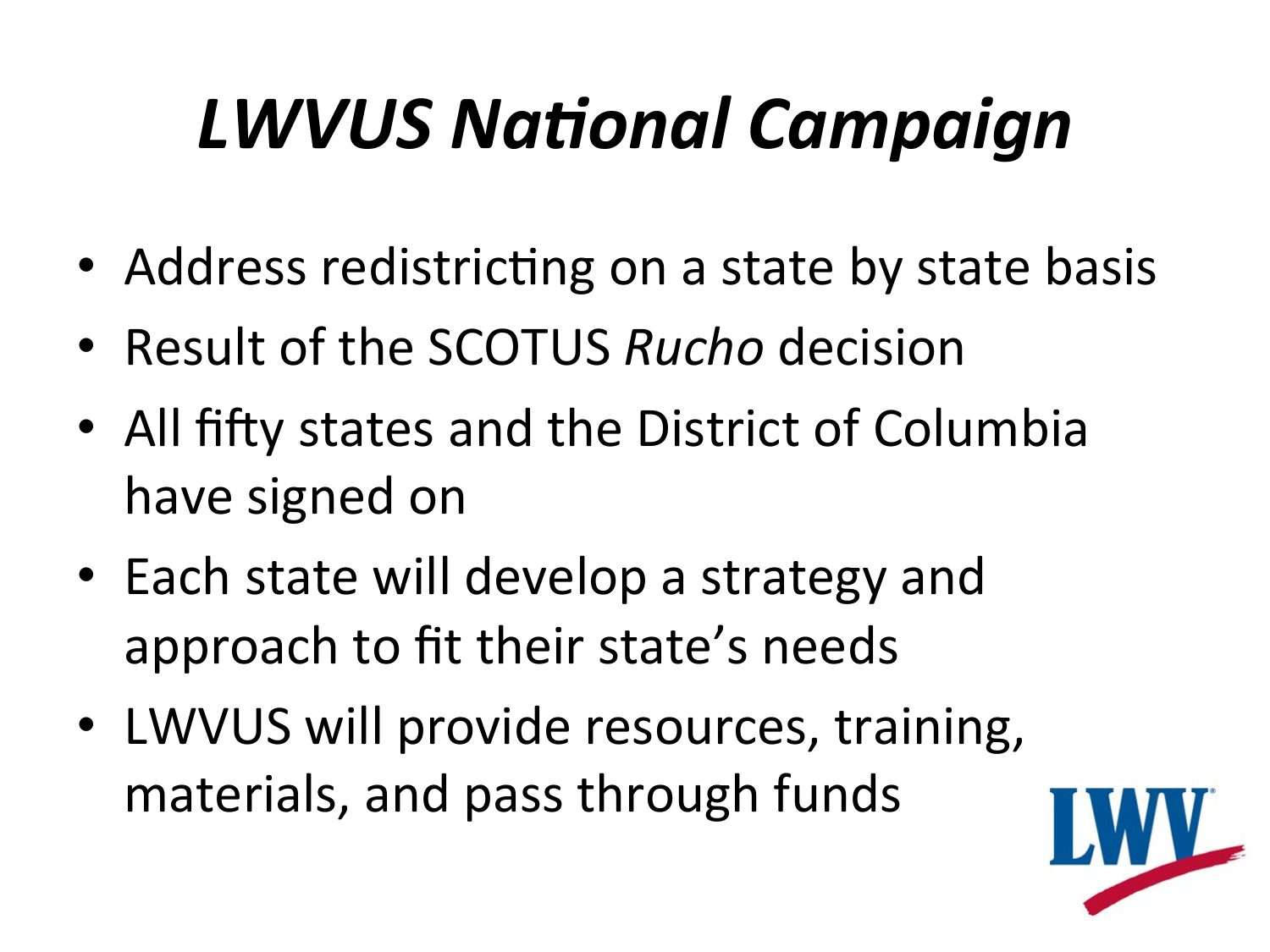## **LWVUS National Campaign**

- Address redistricting on a state by state basis
- Result of the SCOTUS *Rucho* decision
- All fifty states and the District of Columbia have signed on
- Each state will develop a strategy and approach to fit their state's needs
- LWVUS will provide resources, training, materials, and pass through funds

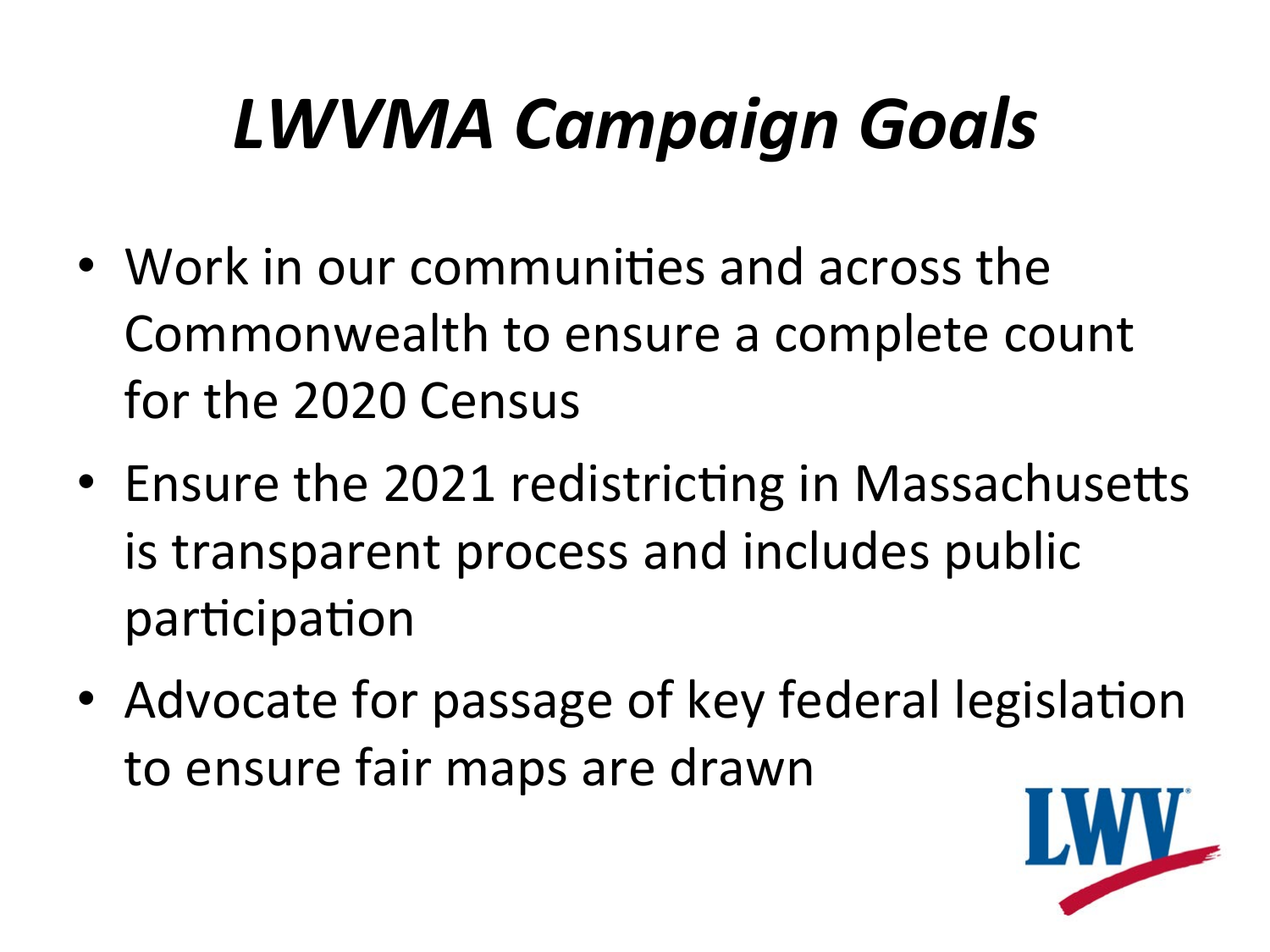## *LWVMA Campaign Goals*

- Work in our communities and across the Commonwealth to ensure a complete count for the 2020 Census
- Ensure the 2021 redistricting in Massachusetts is transparent process and includes public participation
- Advocate for passage of key federal legislation to ensure fair maps are drawn

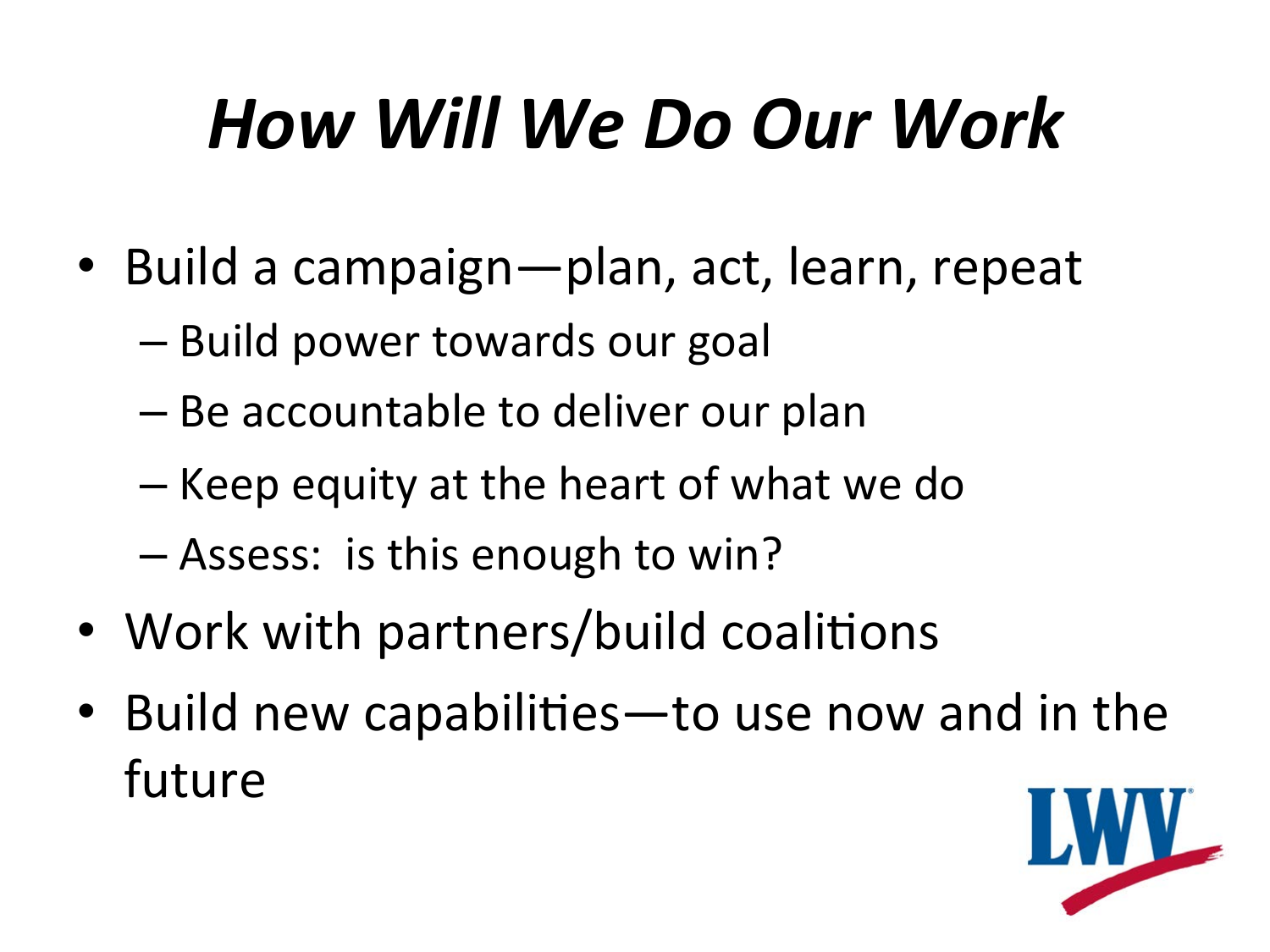### *How Will We Do Our Work*

- Build a campaign—plan, act, learn, repeat
	- Build power towards our goal
	- Be accountable to deliver our plan
	- Keep equity at the heart of what we do
	- Assess: is this enough to win?
- Work with partners/build coalitions
- Build new capabilities—to use now and in the future

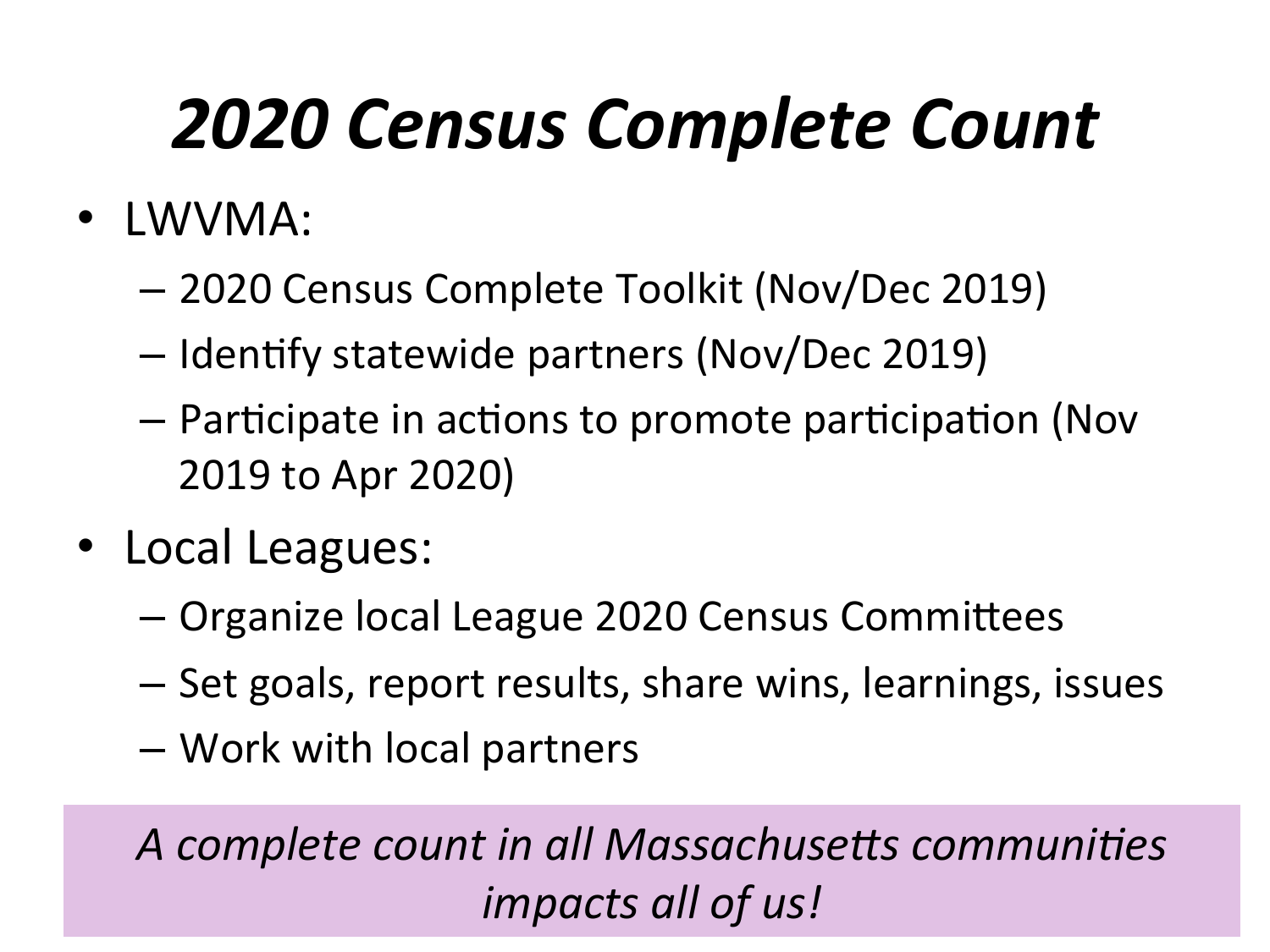#### *2020 Census Complete Count*

- LWVMA:
	- 2020 Census Complete Toolkit (Nov/Dec 2019)
	- $-$  Identify statewide partners (Nov/Dec 2019)
	- $-$  Participate in actions to promote participation (Nov 2019 to Apr 2020)
- Local Leagues:
	- Organize local League 2020 Census Committees
	- $-$  Set goals, report results, share wins, learnings, issues
	- Work with local partners

A complete count in all Massachusetts communities *impacts all of us!*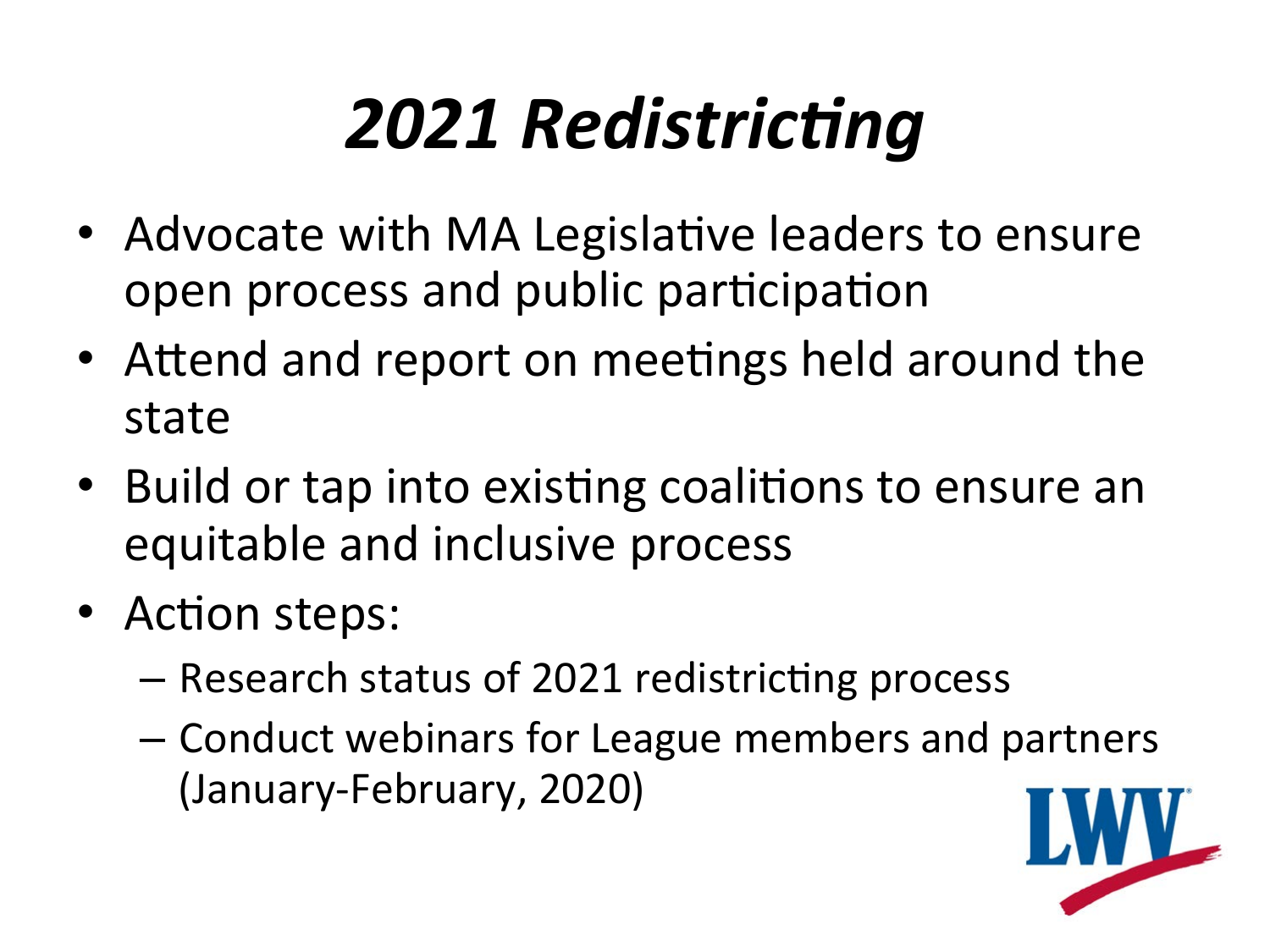## **2021 Redistricting**

- Advocate with MA Legislative leaders to ensure open process and public participation
- Attend and report on meetings held around the state
- Build or tap into existing coalitions to ensure an equitable and inclusive process
- Action steps:
	- $-$  Research status of 2021 redistricting process
	- Conduct webinars for League members and partners (January-February, 2020)

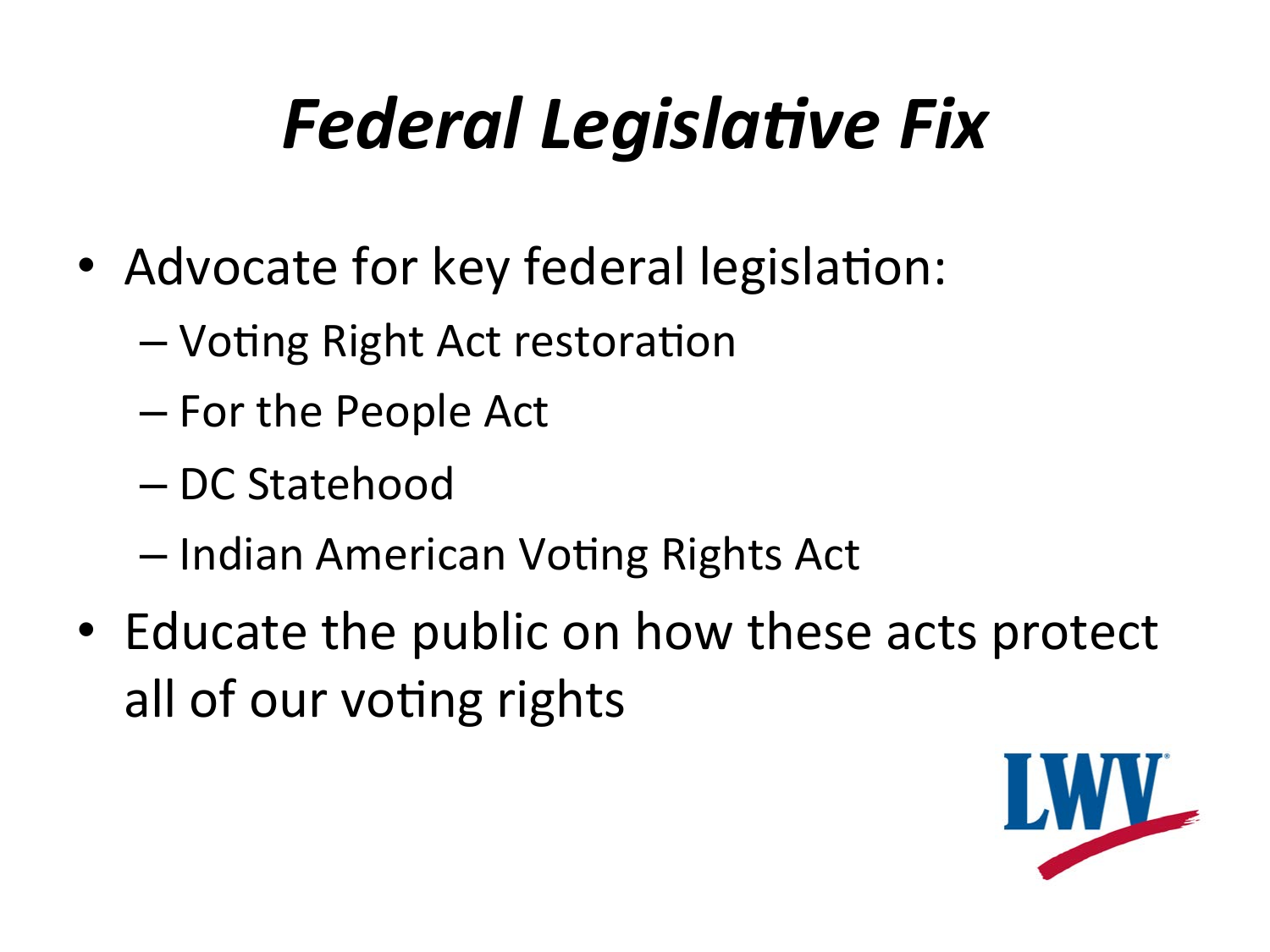## **Federal Legislative Fix**

- Advocate for key federal legislation:
	- Voting Right Act restoration
	- For the People Act
	- DC Statehood
	- Indian American Voting Rights Act
- Educate the public on how these acts protect all of our voting rights